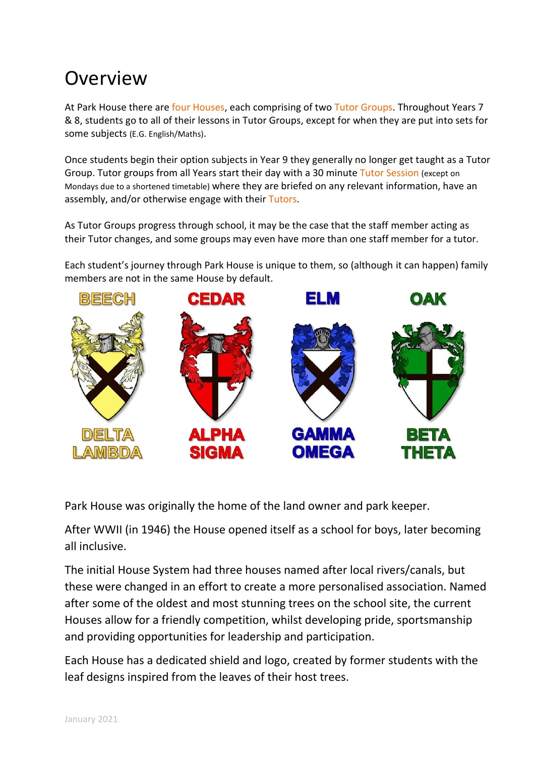# **Overview**

At Park House there are four Houses, each comprising of two Tutor Groups. Throughout Years 7 & 8, students go to all of their lessons in Tutor Groups, except for when they are put into sets for some subjects (E.G. English/Maths).

Once students begin their option subjects in Year 9 they generally no longer get taught as a Tutor Group. Tutor groups from all Years start their day with a 30 minute Tutor Session (except on Mondays due to a shortened timetable) where they are briefed on any relevant information, have an assembly, and/or otherwise engage with their Tutors.

As Tutor Groups progress through school, it may be the case that the staff member acting as their Tutor changes, and some groups may even have more than one staff member for a tutor.

Each student's journey through Park House is unique to them, so (although it can happen) family members are not in the same House by default.



Park House was originally the home of the land owner and park keeper.

After WWII (in 1946) the House opened itself as a school for boys, later becoming all inclusive.

The initial House System had three houses named after local rivers/canals, but these were changed in an effort to create a more personalised association. Named after some of the oldest and most stunning trees on the school site, the current Houses allow for a friendly competition, whilst developing pride, sportsmanship and providing opportunities for leadership and participation.

Each House has a dedicated shield and logo, created by former students with the leaf designs inspired from the leaves of their host trees.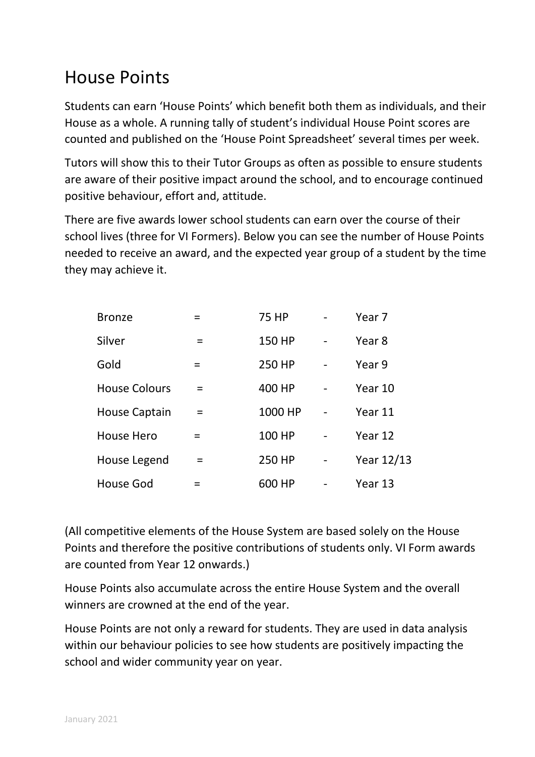# House Points

Students can earn 'House Points' which benefit both them as individuals, and their House as a whole. A running tally of student's individual House Point scores are counted and published on the 'House Point Spreadsheet' several times per week.

Tutors will show this to their Tutor Groups as often as possible to ensure students are aware of their positive impact around the school, and to encourage continued positive behaviour, effort and, attitude.

There are five awards lower school students can earn over the course of their school lives (three for VI Formers). Below you can see the number of House Points needed to receive an award, and the expected year group of a student by the time they may achieve it.

| <b>Bronze</b>        | $\equiv$ | <b>75 HP</b> |                | Year <sub>7</sub> |
|----------------------|----------|--------------|----------------|-------------------|
| Silver               | $=$      | 150 HP       |                | Year 8            |
| Gold                 | $=$      | 250 HP       |                | Year 9            |
| <b>House Colours</b> | $=$      | 400 HP       |                | Year 10           |
| <b>House Captain</b> |          | 1000 HP      |                | Year 11           |
| House Hero           | $=$      | 100 HP       |                | Year 12           |
| House Legend         | $=$      | 250 HP       | $\overline{a}$ | Year 12/13        |
| House God            |          | 600 HP       |                | Year 13           |

(All competitive elements of the House System are based solely on the House Points and therefore the positive contributions of students only. VI Form awards are counted from Year 12 onwards.)

House Points also accumulate across the entire House System and the overall winners are crowned at the end of the year.

House Points are not only a reward for students. They are used in data analysis within our behaviour policies to see how students are positively impacting the school and wider community year on year.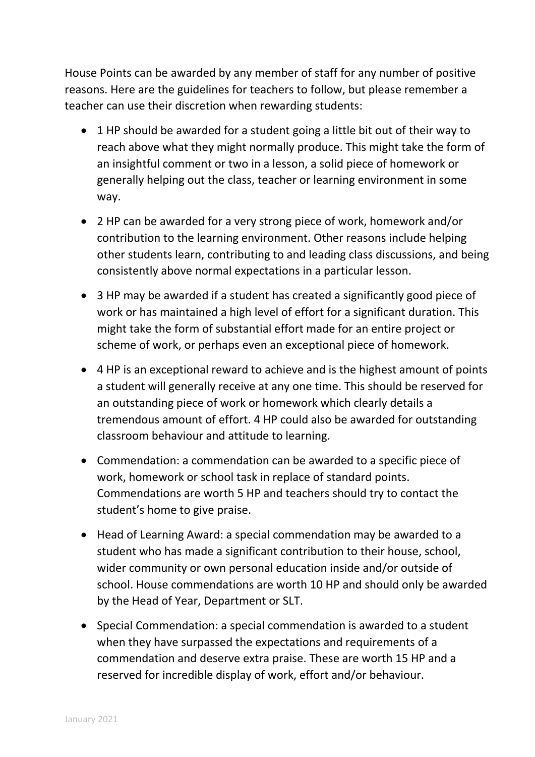House Points can be awarded by any member of staff for any number of positive reasons. Here are the guidelines for teachers to follow, but please remember a teacher can use their discretion when rewarding students:

- 1 HP should be awarded for a student going a little bit out of their way to reach above what they might normally produce. This might take the form of an insightful comment or two in a lesson, a solid piece of homework or generally helping out the class, teacher or learning environment in some way.
- 2 HP can be awarded for a very strong piece of work, homework and/or contribution to the learning environment. Other reasons include helping other students learn, contributing to and leading class discussions, and being consistently above normal expectations in a particular lesson.
- 3 HP may be awarded if a student has created a significantly good piece of work or has maintained a high level of effort for a significant duration. This might take the form of substantial effort made for an entire project or scheme of work, or perhaps even an exceptional piece of homework.
- 4 HP is an exceptional reward to achieve and is the highest amount of points a student will generally receive at any one time. This should be reserved for an outstanding piece of work or homework which clearly details a tremendous amount of effort. 4 HP could also be awarded for outstanding classroom behaviour and attitude to learning.
- Commendation: a commendation can be awarded to a specific piece of work, homework or school task in replace of standard points. Commendations are worth 5 HP and teachers should try to contact the student's home to give praise.
- Head of Learning Award: a special commendation may be awarded to a student who has made a significant contribution to their house, school, wider community or own personal education inside and/or outside of school. House commendations are worth 10 HP and should only be awarded by the Head of Year, Department or SLT.
- Special Commendation: a special commendation is awarded to a student when they have surpassed the expectations and requirements of a commendation and deserve extra praise. These are worth 15 HP and a reserved for incredible display of work, effort and/or behaviour.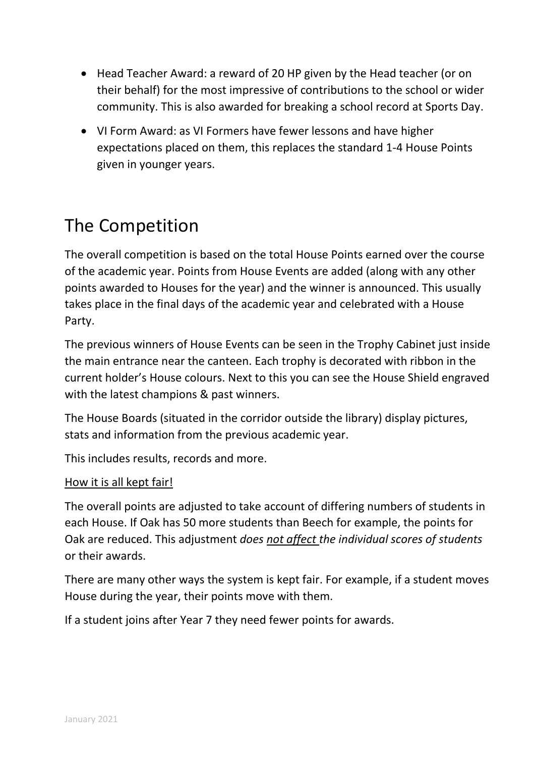- Head Teacher Award: a reward of 20 HP given by the Head teacher (or on their behalf) for the most impressive of contributions to the school or wider community. This is also awarded for breaking a school record at Sports Day.
- VI Form Award: as VI Formers have fewer lessons and have higher expectations placed on them, this replaces the standard 1-4 House Points given in younger years.

## The Competition

The overall competition is based on the total House Points earned over the course of the academic year. Points from House Events are added (along with any other points awarded to Houses for the year) and the winner is announced. This usually takes place in the final days of the academic year and celebrated with a House Party.

The previous winners of House Events can be seen in the Trophy Cabinet just inside the main entrance near the canteen. Each trophy is decorated with ribbon in the current holder's House colours. Next to this you can see the House Shield engraved with the latest champions & past winners.

The House Boards (situated in the corridor outside the library) display pictures, stats and information from the previous academic year.

This includes results, records and more.

#### How it is all kept fair!

The overall points are adjusted to take account of differing numbers of students in each House. If Oak has 50 more students than Beech for example, the points for Oak are reduced. This adjustment *does not affect the individual scores of students*  or their awards.

There are many other ways the system is kept fair. For example, if a student moves House during the year, their points move with them.

If a student joins after Year 7 they need fewer points for awards.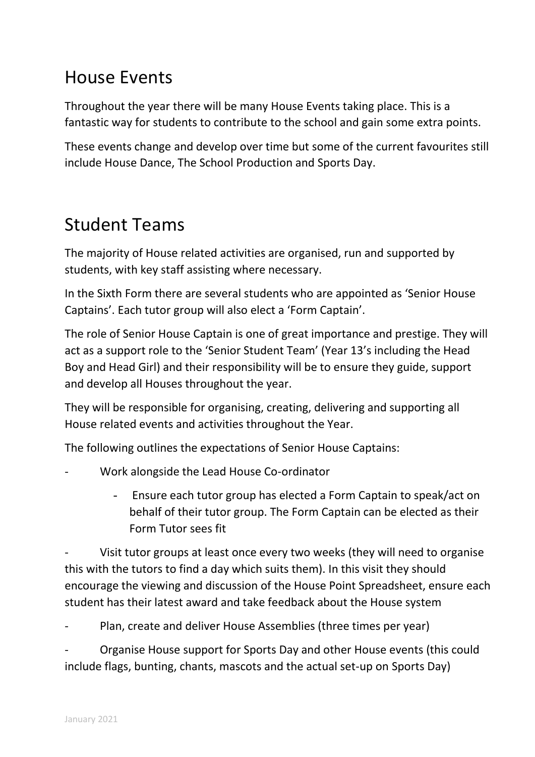## House Events

Throughout the year there will be many House Events taking place. This is a fantastic way for students to contribute to the school and gain some extra points.

These events change and develop over time but some of the current favourites still include House Dance, The School Production and Sports Day.

### Student Teams

The majority of House related activities are organised, run and supported by students, with key staff assisting where necessary.

In the Sixth Form there are several students who are appointed as 'Senior House Captains'. Each tutor group will also elect a 'Form Captain'.

The role of Senior House Captain is one of great importance and prestige. They will act as a support role to the 'Senior Student Team' (Year 13's including the Head Boy and Head Girl) and their responsibility will be to ensure they guide, support and develop all Houses throughout the year.

They will be responsible for organising, creating, delivering and supporting all House related events and activities throughout the Year.

The following outlines the expectations of Senior House Captains:

- Work alongside the Lead House Co-ordinator
	- Ensure each tutor group has elected a Form Captain to speak/act on behalf of their tutor group. The Form Captain can be elected as their Form Tutor sees fit

Visit tutor groups at least once every two weeks (they will need to organise this with the tutors to find a day which suits them). In this visit they should encourage the viewing and discussion of the House Point Spreadsheet, ensure each student has their latest award and take feedback about the House system

Plan, create and deliver House Assemblies (three times per year)

Organise House support for Sports Day and other House events (this could include flags, bunting, chants, mascots and the actual set-up on Sports Day)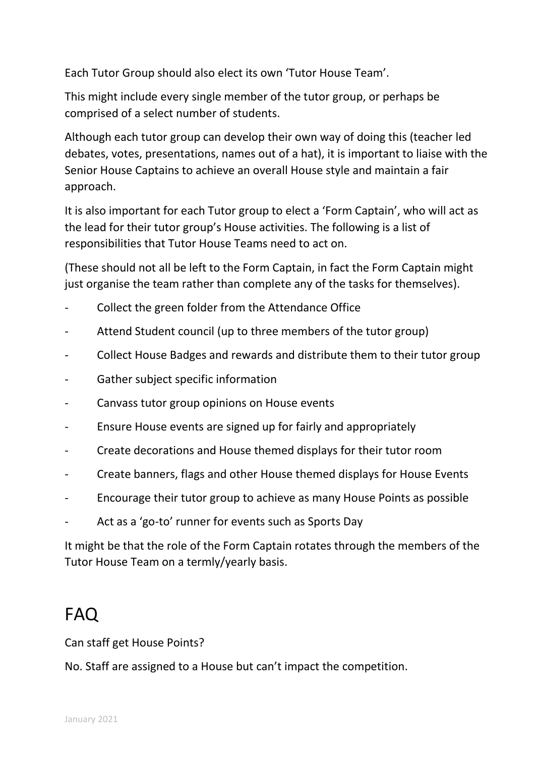Each Tutor Group should also elect its own 'Tutor House Team'.

This might include every single member of the tutor group, or perhaps be comprised of a select number of students.

Although each tutor group can develop their own way of doing this (teacher led debates, votes, presentations, names out of a hat), it is important to liaise with the Senior House Captains to achieve an overall House style and maintain a fair approach.

It is also important for each Tutor group to elect a 'Form Captain', who will act as the lead for their tutor group's House activities. The following is a list of responsibilities that Tutor House Teams need to act on.

(These should not all be left to the Form Captain, in fact the Form Captain might just organise the team rather than complete any of the tasks for themselves).

- Collect the green folder from the Attendance Office
- Attend Student council (up to three members of the tutor group)
- Collect House Badges and rewards and distribute them to their tutor group
- Gather subject specific information
- Canvass tutor group opinions on House events
- Ensure House events are signed up for fairly and appropriately
- Create decorations and House themed displays for their tutor room
- Create banners, flags and other House themed displays for House Events
- Encourage their tutor group to achieve as many House Points as possible
- Act as a 'go-to' runner for events such as Sports Day

It might be that the role of the Form Captain rotates through the members of the Tutor House Team on a termly/yearly basis.

### FAQ

Can staff get House Points?

No. Staff are assigned to a House but can't impact the competition.